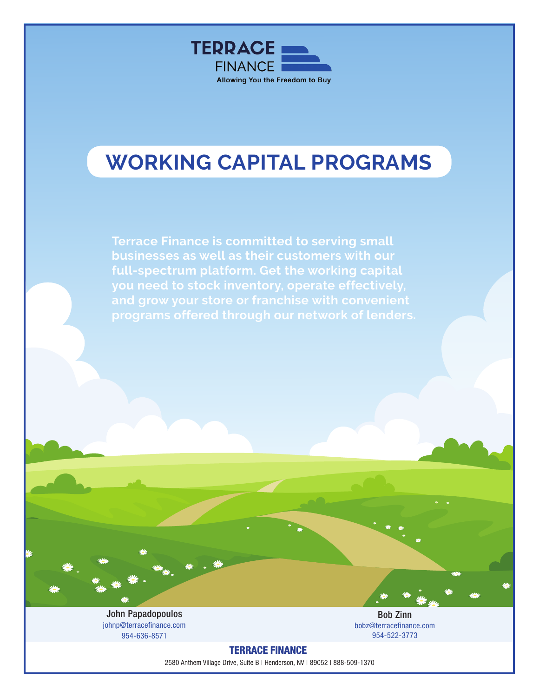

# **WORKING CAPITAL PROGRAMS**

**Terrace Finance is committed to serving small businesses as well as their customers with our full-spectrum platform. Get the working capital you need to stock inventory, operate effectively, and grow your store or franchise with convenient programs offered through our network of lenders.**

Contact John Papadopoulos at johnp@terracefinance.com or 954-636-8571 for more details. details. John Papadopoulos johnp@terracefinance.com 954-636-8571

Bob Zinn bobz@terracefinance.com 954-522-3773

TERRACE FINANCE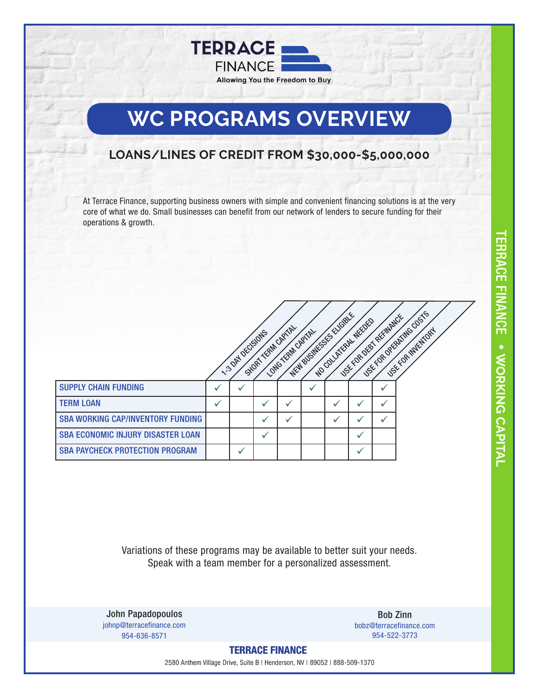

# **WC PROGRAMS OVERVIEW**

### **LOANS/LINES OF CREDIT FROM \$30,000-\$5,000,000**

At Terrace Finance, supporting business owners with simple and convenient financing solutions is at the very core of what we do. Small businesses can benefit from our network of lenders to secure funding for their operations & growth.



Variations of these programs may be available to better suit your needs. Speak with a team member for a personalized assessment.

Contact John Papadopoulos at johnp@terracefinance.com or 954-636-8571 for more details. details. John Papadopoulos johnp@terracefinance.com 954-636-8571

Bob Zinn bobz@terracefinance.com 954-522-3773

TERRACE FINANCE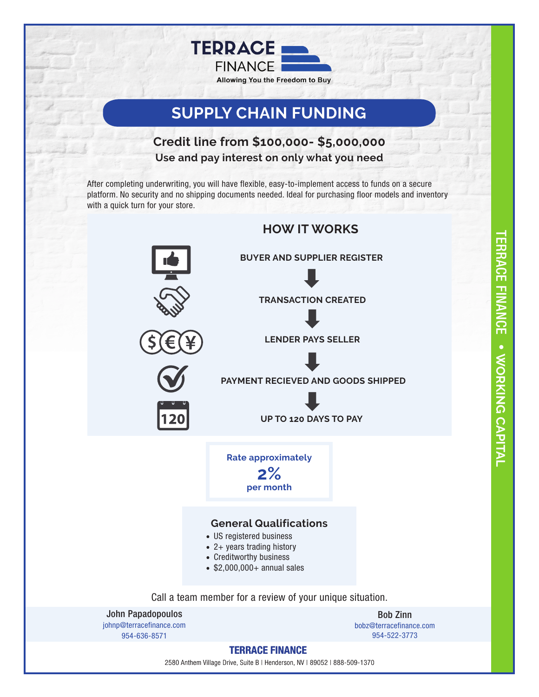

## **SUPPLY CHAIN FUNDING**

### **Credit line from \$100,000- \$5,000,000 Use and pay interest on only what you need**

After completing underwriting, you will have flexible, easy-to-implement access to funds on a secure platform. No security and no shipping documents needed. Ideal for purchasing floor models and inventory with a quick turn for your store.



TERRACE FINANCE **LERACE FINANC CAPITAL WORKING CAPITAL**

TERRACE FINANCE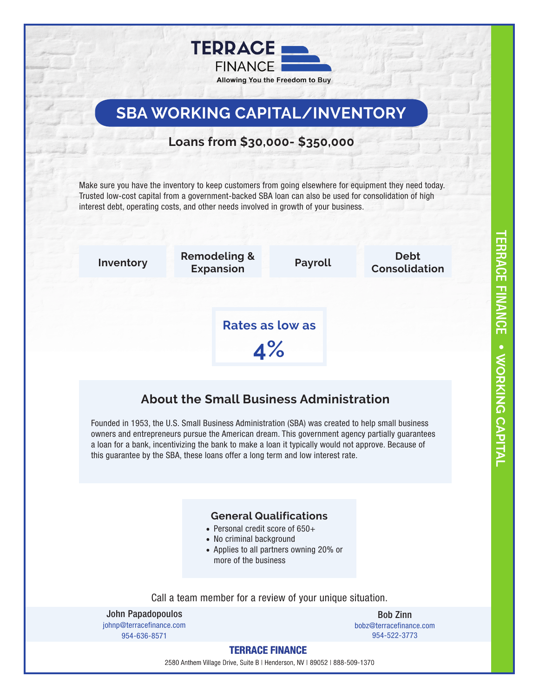

## **SBA WORKING CAPITAL/INVENTORY**

### **Loans from \$30,000- \$350,000**

Make sure you have the inventory to keep customers from going elsewhere for equipment they need today. Trusted low-cost capital from a government-backed SBA loan can also be used for consolidation of high interest debt, operating costs, and other needs involved in growth of your business.



## **About the Small Business Administration**

Founded in 1953, the U.S. Small Business Administration (SBA) was created to help small business owners and entrepreneurs pursue the American dream. This government agency partially guarantees a loan for a bank, incentivizing the bank to make a loan it typically would not approve. Because of this guarantee by the SBA, these loans offer a long term and low interest rate.

#### **General Qualifications**

- Personal credit score of 650+
- No criminal background
- Applies to all partners owning 20% or more of the business

Call a team member for a review of your unique situation.

Contact John Papadopoulos at johnp@terracefinance.com or 954-636-8571 for more details. details. John Papadopoulos johnp@terracefinance.com 954-636-8571

Bob Zinn bobz@terracefinance.com 954-522-3773

#### TERRACE FINANCE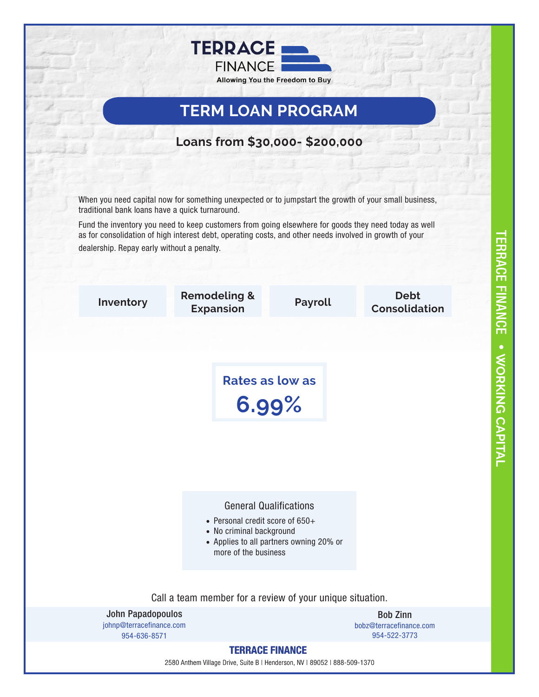

## **TERM LOAN PROGRAM**

### **Loans from \$30,000- \$200,000**

When you need capital now for something unexpected or to jumpstart the growth of your small business, traditional bank loans have a quick turnaround.

Fund the inventory you need to keep customers from going elsewhere for goods they need today as well as for consolidation of high interest debt, operating costs, and other needs involved in growth of your dealership. Repay early without a penalty.

TERRACE FINANCE

**LERACE FINANCE • VOOKING CAPITAL** 

**WORKING CAPITAL**

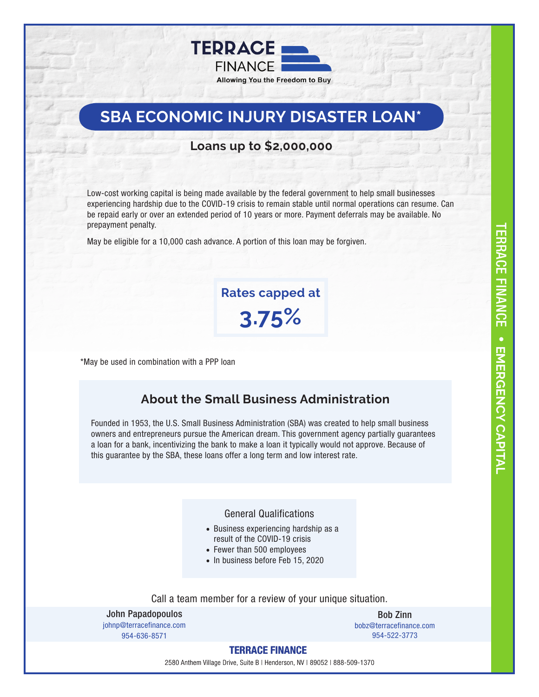

## **SBA ECONOMIC INJURY DISASTER LOAN\***

#### **Loans up to \$2,000,000**

Low-cost working capital is being made available by the federal government to help small businesses experiencing hardship due to the COVID-19 crisis to remain stable until normal operations can resume. Can be repaid early or over an extended period of 10 years or more. Payment deferrals may be available. No prepayment penalty.

May be eligible for a 10,000 cash advance. A portion of this loan may be forgiven.

**Rates capped at 3.75%**

\*May be used in combination with a PPP loan

#### **About the Small Business Administration**

Founded in 1953, the U.S. Small Business Administration (SBA) was created to help small business owners and entrepreneurs pursue the American dream. This government agency partially guarantees a loan for a bank, incentivizing the bank to make a loan it typically would not approve. Because of this guarantee by the SBA, these loans offer a long term and low interest rate.

#### General Qualifications

- Business experiencing hardship as a result of the COVID-19 crisis
- Fewer than 500 employees
- In business before Feb 15, 2020

Call a team member for a review of your unique situation.

Contact John Papadopoulos at johnp@terracefinance.com or 954-636-8571 for more details. details. John Papadopoulos johnp@terracefinance.com 954-636-8571

Bob Zinn bobz@terracefinance.com 954-522-3773

#### TERRACE FINANCE